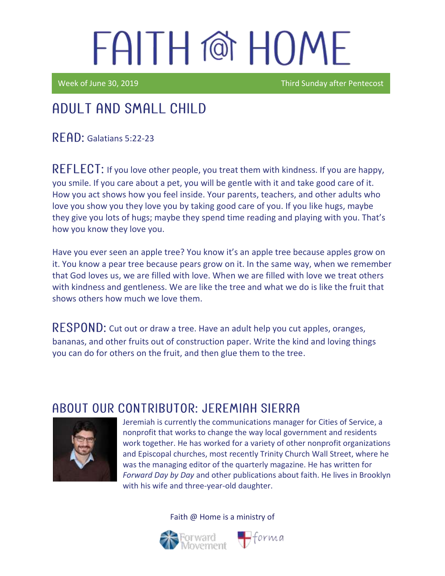## FAITH @ HOME

Week of June 30, 2019 **Third Sunday after Pentecost** 

### Adult and Small Child

 $R$   $F$  $R$  $D$ : Galatians 5:22-23

 $REFLECT$ : If you love other people, you treat them with kindness. If you are happy, you smile. If you care about a pet, you will be gentle with it and take good care of it. How you act shows how you feel inside. Your parents, teachers, and other adults who love you show you they love you by taking good care of you. If you like hugs, maybe they give you lots of hugs; maybe they spend time reading and playing with you. That's how you know they love you.

Have you ever seen an apple tree? You know it's an apple tree because apples grow on it. You know a pear tree because pears grow on it. In the same way, when we remember that God loves us, we are filled with love. When we are filled with love we treat others with kindness and gentleness. We are like the tree and what we do is like the fruit that shows others how much we love them.

RESPOND: Cut out or draw a tree. Have an adult help you cut apples, oranges, bananas, and other fruits out of construction paper. Write the kind and loving things you can do for others on the fruit, and then glue them to the tree.

#### ABOUT OUR CONTRIBUTOR: JEREMIAH SIERRA



Jeremiah is currently the communications manager for Cities of Service, a nonprofit that works to change the way local government and residents work together. He has worked for a variety of other nonprofit organizations and Episcopal churches, most recently Trinity Church Wall Street, where he was the managing editor of the quarterly magazine. He has written for *Forward Day by Day* and other publications about faith. He lives in Brooklyn with his wife and three-year-old daughter.

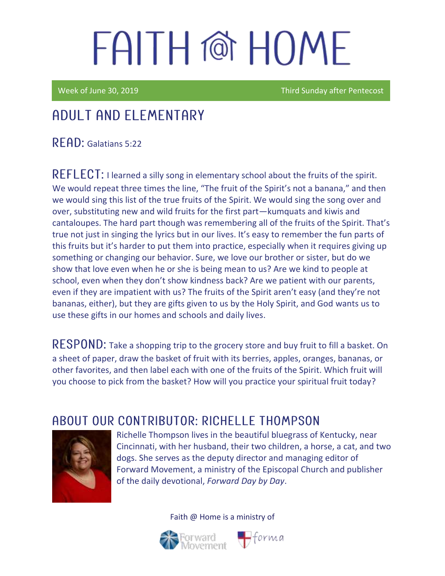# FAITH @ HOMF

Week of June 30, 2019 **Third Sunday after Pentecost** 

### Adult and elementary

READ: Galatians 5:22

REFLECT: I learned a silly song in elementary school about the fruits of the spirit. We would repeat three times the line, "The fruit of the Spirit's not a banana," and then we would sing this list of the true fruits of the Spirit. We would sing the song over and over, substituting new and wild fruits for the first part—kumquats and kiwis and cantaloupes. The hard part though was remembering all of the fruits of the Spirit. That's true not just in singing the lyrics but in our lives. It's easy to remember the fun parts of this fruits but it's harder to put them into practice, especially when it requires giving up something or changing our behavior. Sure, we love our brother or sister, but do we show that love even when he or she is being mean to us? Are we kind to people at school, even when they don't show kindness back? Are we patient with our parents, even if they are impatient with us? The fruits of the Spirit aren't easy (and they're not bananas, either), but they are gifts given to us by the Holy Spirit, and God wants us to use these gifts in our homes and schools and daily lives.

RESPOND: Take a shopping trip to the grocery store and buy fruit to fill a basket. On a sheet of paper, draw the basket of fruit with its berries, apples, oranges, bananas, or other favorites, and then label each with one of the fruits of the Spirit. Which fruit will you choose to pick from the basket? How will you practice your spiritual fruit today?

### ABOUT OUR CONTRIBUTOR: RICHELLE THOMPSON



Richelle Thompson lives in the beautiful bluegrass of Kentucky, near Cincinnati, with her husband, their two children, a horse, a cat, and two dogs. She serves as the deputy director and managing editor of Forward Movement, a ministry of the Episcopal Church and publisher of the daily devotional, *Forward Day by Day*.



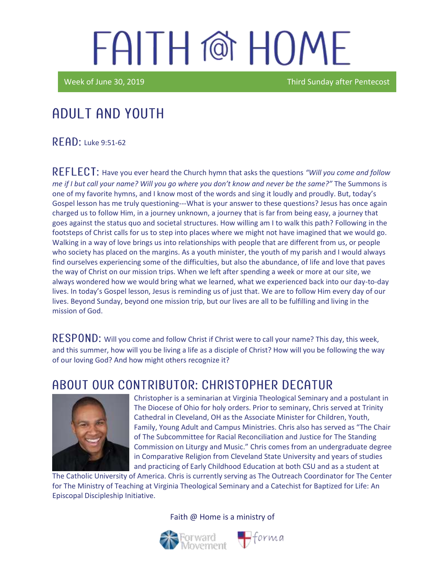### FAITH @ HOME

Week of June 30, 2019 **Third Sunday after Pentecost** Companies All and Sunday after Pentecost

### Adult and youth

 $R$  FAD: Luke 9:51-62

REFLECT: Have you ever heard the Church hymn that asks the questions "Will you come and follow *me if I but call your name? Will you go where you don't know and never be the same?"* The Summons is one of my favorite hymns, and I know most of the words and sing it loudly and proudly. But, today's Gospel lesson has me truly questioning---What is your answer to these questions? Jesus has once again charged us to follow Him, in a journey unknown, a journey that is far from being easy, a journey that goes against the status quo and societal structures. How willing am I to walk this path? Following in the footsteps of Christ calls for us to step into places where we might not have imagined that we would go. Walking in a way of love brings us into relationships with people that are different from us, or people who society has placed on the margins. As a youth minister, the youth of my parish and I would always find ourselves experiencing some of the difficulties, but also the abundance, of life and love that paves the way of Christ on our mission trips. When we left after spending a week or more at our site, we always wondered how we would bring what we learned, what we experienced back into our day-to-day lives. In today's Gospel lesson, Jesus is reminding us of just that. We are to follow Him every day of our lives. Beyond Sunday, beyond one mission trip, but our lives are all to be fulfilling and living in the mission of God.

RESPOND: Will you come and follow Christ if Christ were to call your name? This day, this week, and this summer, how will you be living a life as a disciple of Christ? How will you be following the way of our loving God? And how might others recognize it?

#### A BOUT OUR CONTRIBUTOR: CHRISTOPHER DECATUR



Christopher is a seminarian at Virginia Theological Seminary and a postulant in The Diocese of Ohio for holy orders. Prior to seminary, Chris served at Trinity Cathedral in Cleveland, OH as the Associate Minister for Children, Youth, Family, Young Adult and Campus Ministries. Chris also has served as "The Chair of The Subcommittee for Racial Reconciliation and Justice for The Standing Commission on Liturgy and Music." Chris comes from an undergraduate degree in Comparative Religion from Cleveland State University and years of studies and practicing of Early Childhood Education at both CSU and as a student at

The Catholic University of America. Chris is currently serving as The Outreach Coordinator for The Center for The Ministry of Teaching at Virginia Theological Seminary and a Catechist for Baptized for Life: An Episcopal Discipleship Initiative.